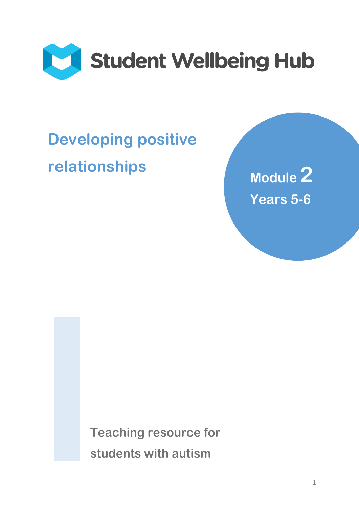

# **Developing positive relationships** Module 2

**Years 5-6**

**Teaching resource for students with autism**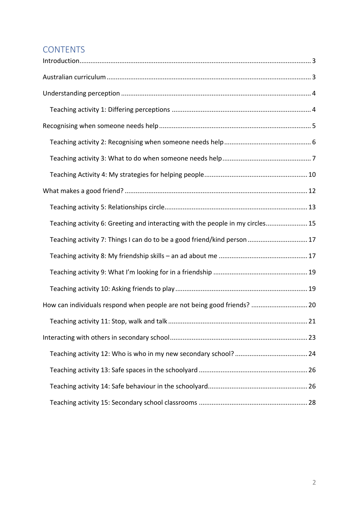## **CONTENTS**

| Teaching activity 6: Greeting and interacting with the people in my circles 15 |  |
|--------------------------------------------------------------------------------|--|
| Teaching activity 7: Things I can do to be a good friend/kind person  17       |  |
|                                                                                |  |
|                                                                                |  |
|                                                                                |  |
| How can individuals respond when people are not being good friends?  20        |  |
|                                                                                |  |
|                                                                                |  |
|                                                                                |  |
|                                                                                |  |
|                                                                                |  |
|                                                                                |  |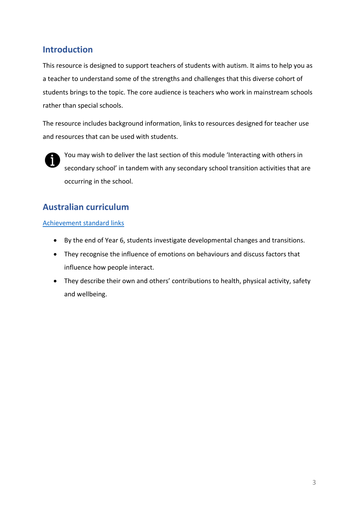## <span id="page-2-0"></span>**Introduction**

This resource is designed to support teachers of students with autism. It aims to help you as a teacher to understand some of the strengths and challenges that this diverse cohort of students brings to the topic. The core audience is teachers who work in mainstream schools rather than special schools.

The resource includes background information, links to resources designed for teacher use and resources that can be used with students.



You may wish to deliver the last section of this module 'Interacting with others in secondary school' in tandem with any secondary school transition activities that are occurring in the school.

## <span id="page-2-1"></span>**Australian curriculum**

#### [Achievement standard links](https://www.australiancurriculum.edu.au/f-10-curriculum/health-and-physical-education/?year=12996&strand=Personal%2C+Social+and+Community+Health&strand=Movement+and+Physical+Activity&capability=ignore&capability=Literacy&capability=Numeracy&capability=Information+and+Communication+Technology+%28ICT%29+Capability&capability=Critical+and+Creative+Thinking&capability=Personal+and+Social+Capability&capability=Ethical+Understanding&capability=Intercultural+Understanding&priority=ignore&priority=Aboriginal+and+Torres+Strait+Islander+Histories+and+Cultures&priority=Asia+and+Australia%E2%80%99s+Engagement+with+Asia&priority=Sustainability&elaborations=true&elaborations=false&scotterms=false&isFirstPageLoad=false)

- By the end of Year 6, students investigate developmental changes and transitions.
- They recognise the influence of emotions on behaviours and discuss factors that influence how people interact.
- They describe their own and others' contributions to health, physical activity, safety and wellbeing.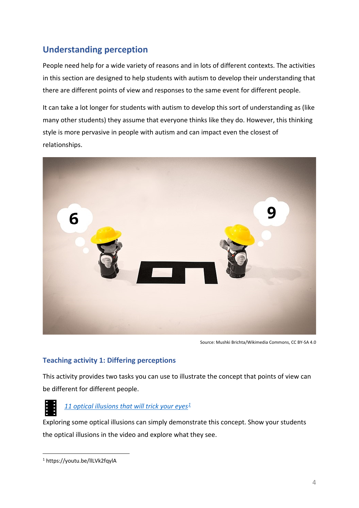## <span id="page-3-0"></span>**Understanding perception**

People need help for a wide variety of reasons and in lots of different contexts. The activities in this section are designed to help students with autism to develop their understanding that there are different points of view and responses to the same event for different people.

It can take a lot longer for students with autism to develop this sort of understanding as (like many other students) they assume that everyone thinks like they do. However, this thinking style is more pervasive in people with autism and can impact even the closest of relationships.



Source: Mushki Brichta/Wikimedia Commons, CC BY-SA 4.0

#### <span id="page-3-1"></span>**Teaching activity 1: Differing perceptions**

This activity provides two tasks you can use to illustrate the concept that points of view can be different for different people.



#### *[11 optical illusions that will trick your eyes](https://youtu.be/llLVk2fqylA)[1](#page-3-2)*

Exploring some optical illusions can simply demonstrate this concept. Show your students the optical illusions in the video and explore what they see.

<span id="page-3-2"></span> <sup>1</sup> https://youtu.be/llLVk2fqylA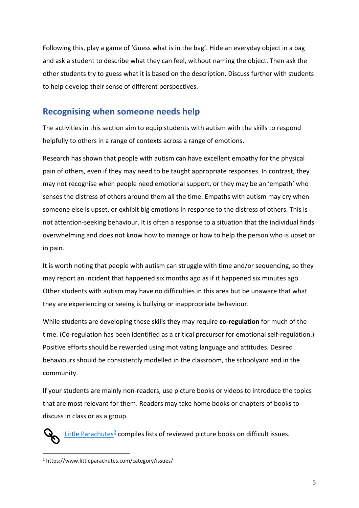Following this, play a game of 'Guess what is in the bag'. Hide an everyday object in a bag and ask a student to describe what they can feel, without naming the object. Then ask the other students try to guess what it is based on the description. Discuss further with students to help develop their sense of different perspectives.

## <span id="page-4-0"></span>**Recognising when someone needs help**

The activities in this section aim to equip students with autism with the skills to respond helpfully to others in a range of contexts across a range of emotions.

Research has shown that people with autism can have excellent empathy for the physical pain of others, even if they may need to be taught appropriate responses. In contrast, they may not recognise when people need emotional support, or they may be an 'empath' who senses the distress of others around them all the time. Empaths with autism may cry when someone else is upset, or exhibit big emotions in response to the distress of others. This is not attention-seeking behaviour. It is often a response to a situation that the individual finds overwhelming and does not know how to manage or how to help the person who is upset or in pain.

It is worth noting that people with autism can struggle with time and/or sequencing, so they may report an incident that happened six months ago as if it happened six minutes ago. Other students with autism may have no difficulties in this area but be unaware that what they are experiencing or seeing is bullying or inappropriate behaviour.

While students are developing these skills they may require **co-regulation** for much of the time. (Co-regulation has been identified as a critical precursor for [emotional self-regulation.](https://en.wikipedia.org/wiki/Emotional_self-regulation)) Positive efforts should be rewarded using motivating language and attitudes. Desired behaviours should be consistently modelled in the classroom, the schoolyard and in the community.

If your students are mainly non-readers, use picture books or videos to introduce the topics that are most relevant for them. Readers may take home books or chapters of books to discuss in class or as a group.

[Little Parachutes](https://www.littleparachutes.com/category/issues/)<sup>[2](#page-4-1)</sup> compiles lists of reviewed picture books on difficult issues.

<span id="page-4-1"></span> <sup>2</sup> https://www.littleparachutes.com/category/issues/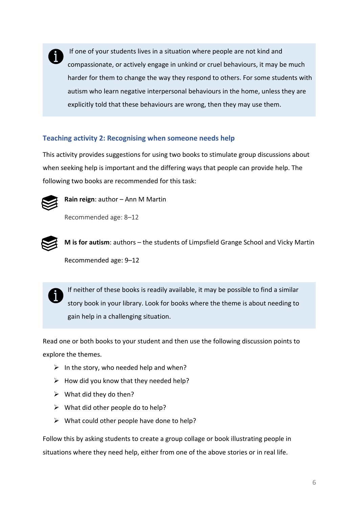

If one of your students lives in a situation where people are not kind and compassionate, or actively engage in unkind or cruel behaviours, it may be much harder for them to change the way they respond to others. For some students with autism who learn negative interpersonal behaviours in the home, unless they are explicitly told that these behaviours are wrong, then they may use them.

#### <span id="page-5-0"></span>**Teaching activity 2: Recognising when someone needs help**

This activity provides suggestions for using two books to stimulate group discussions about when seeking help is important and the differing ways that people can provide help. The following two books are recommended for this task:



**Rain reign**: author – Ann M Martin

Recommended age: 8–12



**M is for autism**: authors – the students of Limpsfield Grange School and Vicky Martin Recommended age: 9–12



If neither of these books is readily available, it may be possible to find a similar story book in your library. Look for books where the theme is about needing to gain help in a challenging situation.

Read one or both books to your student and then use the following discussion points to explore the themes.

- $\triangleright$  In the story, who needed help and when?
- $\triangleright$  How did you know that they needed help?
- $\triangleright$  What did they do then?
- $\triangleright$  What did other people do to help?
- $\triangleright$  What could other people have done to help?

Follow this by asking students to create a group collage or book illustrating people in situations where they need help, either from one of the above stories or in real life.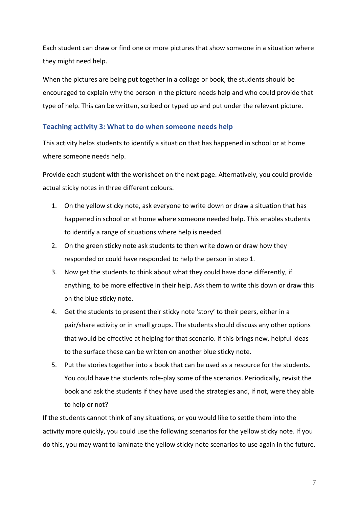Each student can draw or find one or more pictures that show someone in a situation where they might need help.

When the pictures are being put together in a collage or book, the students should be encouraged to explain why the person in the picture needs help and who could provide that type of help. This can be written, scribed or typed up and put under the relevant picture.

#### <span id="page-6-0"></span>**Teaching activity 3: What to do when someone needs help**

This activity helps students to identify a situation that has happened in school or at home where someone needs help.

Provide each student with the worksheet on the next page. Alternatively, you could provide actual sticky notes in three different colours.

- 1. On the yellow sticky note, ask everyone to write down or draw a situation that has happened in school or at home where someone needed help. This enables students to identify a range of situations where help is needed.
- 2. On the green sticky note ask students to then write down or draw how they responded or could have responded to help the person in step 1.
- 3. Now get the students to think about what they could have done differently, if anything, to be more effective in their help. Ask them to write this down or draw this on the blue sticky note.
- 4. Get the students to present their sticky note 'story' to their peers, either in a pair/share activity or in small groups. The students should discuss any other options that would be effective at helping for that scenario. If this brings new, helpful ideas to the surface these can be written on another blue sticky note.
- 5. Put the stories together into a book that can be used as a resource for the students. You could have the students role-play some of the scenarios. Periodically, revisit the book and ask the students if they have used the strategies and, if not, were they able to help or not?

If the students cannot think of any situations, or you would like to settle them into the activity more quickly, you could use the following scenarios for the yellow sticky note. If you do this, you may want to laminate the yellow sticky note scenarios to use again in the future.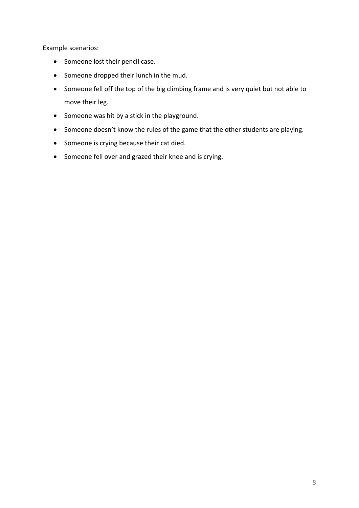Example scenarios:

- Someone lost their pencil case.
- Someone dropped their lunch in the mud.
- Someone fell off the top of the big climbing frame and is very quiet but not able to move their leg.
- Someone was hit by a stick in the playground.
- Someone doesn't know the rules of the game that the other students are playing.
- Someone is crying because their cat died.
- Someone fell over and grazed their knee and is crying.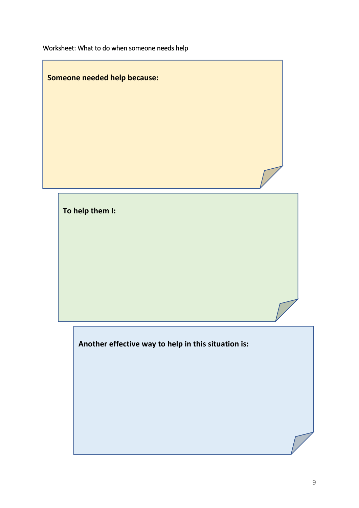Worksheet: What to do when someone needs help

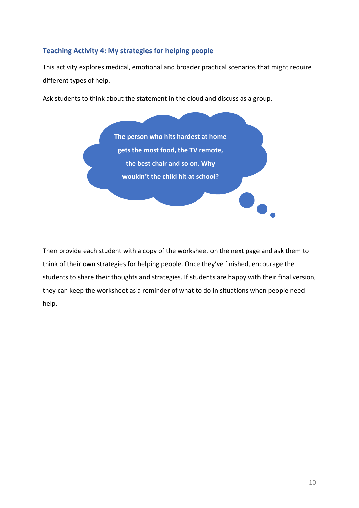#### <span id="page-9-0"></span>**Teaching Activity 4: My strategies for helping people**

This activity explores medical, emotional and broader practical scenarios that might require different types of help.

Ask students to think about the statement in the cloud and discuss as a group.

**The person who hits hardest at home gets the most food, the TV remote, the best chair and so on. Why wouldn't the child hit at school?**

Then provide each student with a copy of the worksheet on the next page and ask them to think of their own strategies for helping people. Once they've finished, encourage the students to share their thoughts and strategies. If students are happy with their final version, they can keep the worksheet as a reminder of what to do in situations when people need help.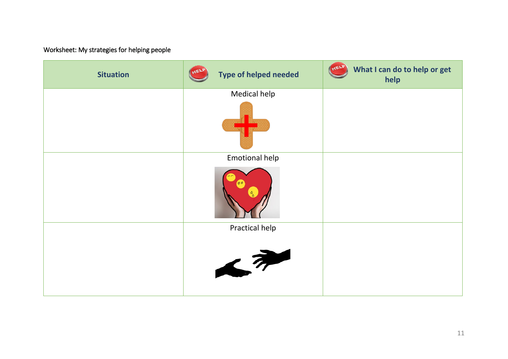## Worksheet: My strategies for helping people

| <b>Situation</b> | <b>Type of helped needed</b> | HEL<br>What I can do to help or get<br>help |
|------------------|------------------------------|---------------------------------------------|
|                  | Medical help                 |                                             |
|                  |                              |                                             |
|                  | <b>Emotional help</b>        |                                             |
|                  |                              |                                             |
|                  | Practical help               |                                             |
|                  | $\rightarrow$                |                                             |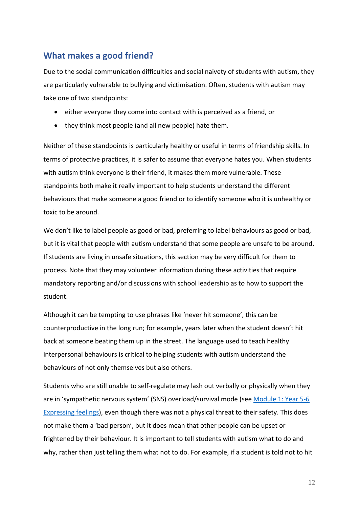## <span id="page-11-0"></span>**What makes a good friend?**

Due to the social communication difficulties and social naivety of students with autism, they are particularly vulnerable to bullying and victimisation. Often, students with autism may take one of two standpoints:

- either everyone they come into contact with is perceived as a friend, or
- they think most people (and all new people) hate them.

Neither of these standpoints is particularly healthy or useful in terms of friendship skills. In terms of protective practices, it is safer to assume that everyone hates you. When students with autism think everyone is their friend, it makes them more vulnerable. These standpoints both make it really important to help students understand the different behaviours that make someone a good friend or to identify someone who it is unhealthy or toxic to be around.

We don't like to label people as good or bad, preferring to label behaviours as good or bad, but it is vital that people with autism understand that some people are unsafe to be around. If students are living in unsafe situations, this section may be very difficult for them to process. Note that they may volunteer information during these activities that require mandatory reporting and/or discussions with school leadership as to how to support the student.

Although it can be tempting to use phrases like 'never hit someone', this can be counterproductive in the long run; for example, years later when the student doesn't hit back at someone beating them up in the street. The language used to teach healthy interpersonal behaviours is critical to helping students with autism understand the behaviours of not only themselves but also others.

Students who are still unable to self-regulate may lash out verbally or physically when they are in 'sympathetic nervous system' (SNS) overload/survival mode (see [Module 1: Year 5-6](https://studentwellbeinghub.edu.au/media/10643/mod-1-yr-5-6-expressing-feelings.pdf)  [Expressing feelings\)](https://studentwellbeinghub.edu.au/media/10643/mod-1-yr-5-6-expressing-feelings.pdf), even though there was not a physical threat to their safety. This does not make them a 'bad person', but it does mean that other people can be upset or frightened by their behaviour. It is important to tell students with autism what to do and why, rather than just telling them what not to do. For example, if a student is told not to hit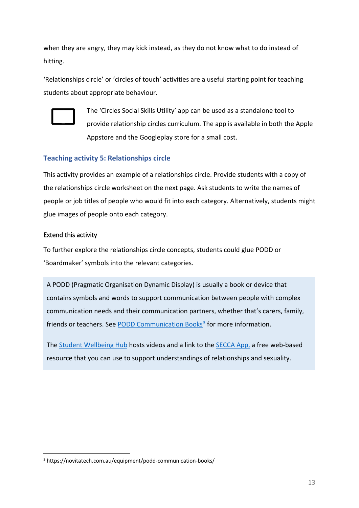when they are angry, they may kick instead, as they do not know what to do instead of hitting.

'Relationships circle' or 'circles of touch' activities are a useful starting point for teaching students about appropriate behaviour.



The 'Circles Social Skills Utility' app can be used as a standalone tool to provide relationship circles curriculum. The app is available in both the Apple Appstore and the Googleplay store for a small cost.

#### <span id="page-12-0"></span>**Teaching activity 5: Relationships circle**

This activity provides an example of a relationships circle. Provide students with a copy of the relationships circle worksheet on the next page. Ask students to write the names of people or job titles of people who would fit into each category. Alternatively, students might glue images of people onto each category.

#### Extend this activity

To further explore the relationships circle concepts, students could glue PODD or 'Boardmaker' symbols into the relevant categories.

A PODD (Pragmatic Organisation Dynamic Display) is usually a book or device that contains symbols and words to support communication between people with complex communication needs and their communication partners, whether that's carers, family, friends or teachers. See [PODD Communication Books](https://novitatech.com.au/equipment/podd-communication-books/)<sup>[3](#page-12-1)</sup> for more information.

The [Student Wellbeing Hub](https://studentwellbeinghub.edu.au/educators/respectful-relationships-education/relationships-education-using-visual-aids/) hosts videos and a link to the [SECCA App,](https://app.secca.org.au/) a free web-based resource that you can use to support understandings of relationships and sexuality.

<span id="page-12-1"></span> <sup>3</sup> https://novitatech.com.au/equipment/podd-communication-books/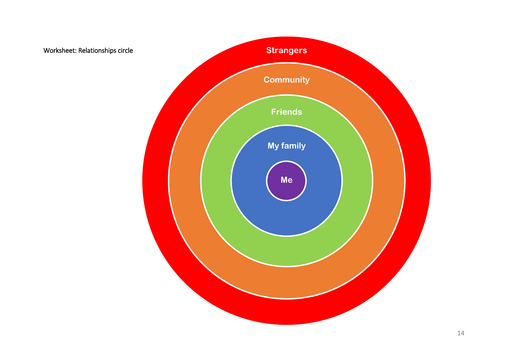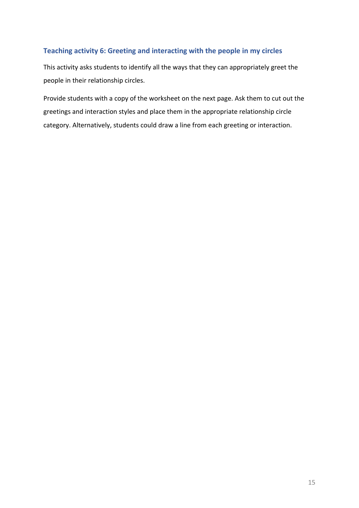#### <span id="page-14-0"></span>**Teaching activity 6: Greeting and interacting with the people in my circles**

This activity asks students to identify all the ways that they can appropriately greet the people in their relationship circles.

Provide students with a copy of the worksheet on the next page. Ask them to cut out the greetings and interaction styles and place them in the appropriate relationship circle category. Alternatively, students could draw a line from each greeting or interaction.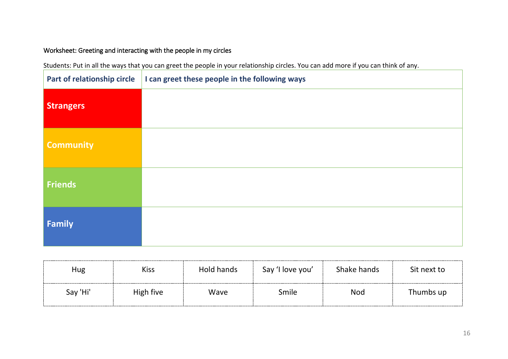## Worksheet: Greeting and interacting with the people in my circles

Students: Put in all the ways that you can greet the people in your relationship circles. You can add more if you can think of any.

| Part of relationship circle | I can greet these people in the following ways |
|-----------------------------|------------------------------------------------|
| <b>Strangers</b>            |                                                |
| <b>Community</b>            |                                                |
| <b>Friends</b>              |                                                |
| <b>Family</b>               |                                                |

| Hug      | <b>Kiss</b> | Hold hands | Say 'I love you' | Shake hands | Sit next to |
|----------|-------------|------------|------------------|-------------|-------------|
| Say 'Hi' | High five   | Wave       | Smile            | <b>Nod</b>  | Thumbs up   |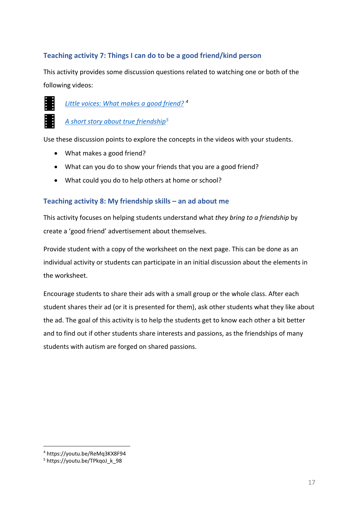#### <span id="page-16-0"></span>**Teaching activity 7: Things I can do to be a good friend/kind person**

This activity provides some discussion questions related to watching one or both of the following videos:



*[Little voices: What makes a good friend?](https://youtu.be/ReMq3KX8F94) [4](#page-16-2)*

*[A short story about true friendship](https://youtu.be/TPkqoJ_k_98)[5](#page-16-3)*

Use these discussion points to explore the concepts in the videos with your students.

- What makes a good friend?
- What can you do to show your friends that you are a good friend?
- What could you do to help others at home or school?

#### <span id="page-16-1"></span>**Teaching activity 8: My friendship skills – an ad about me**

This activity focuses on helping students understand what *they bring to a friendship* by create a 'good friend' advertisement about themselves.

Provide student with a copy of the worksheet on the next page. This can be done as an individual activity or students can participate in an initial discussion about the elements in the worksheet.

Encourage students to share their ads with a small group or the whole class. After each student shares their ad (or it is presented for them), ask other students what they like about the ad. The goal of this activity is to help the students get to know each other a bit better and to find out if other students share interests and passions, as the friendships of many students with autism are forged on shared passions.

<span id="page-16-2"></span> <sup>4</sup> https://youtu.be/ReMq3KX8F94

<span id="page-16-3"></span><sup>&</sup>lt;sup>5</sup> https://voutu.be/TPkgoJ\_k\_98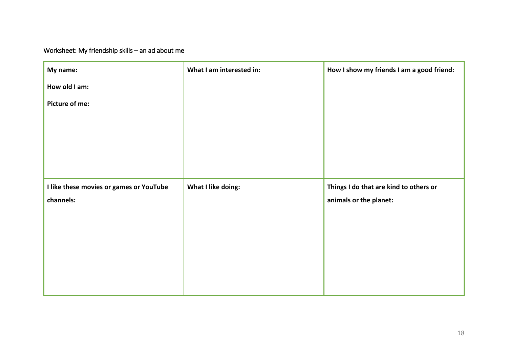Worksheet: My friendship skills – an ad about me

| My name:                                | What I am interested in: | How I show my friends I am a good friend: |
|-----------------------------------------|--------------------------|-------------------------------------------|
| How old I am:                           |                          |                                           |
| Picture of me:                          |                          |                                           |
|                                         |                          |                                           |
|                                         |                          |                                           |
|                                         |                          |                                           |
|                                         |                          |                                           |
| I like these movies or games or YouTube | What I like doing:       | Things I do that are kind to others or    |
| channels:                               |                          | animals or the planet:                    |
|                                         |                          |                                           |
|                                         |                          |                                           |
|                                         |                          |                                           |
|                                         |                          |                                           |
|                                         |                          |                                           |
|                                         |                          |                                           |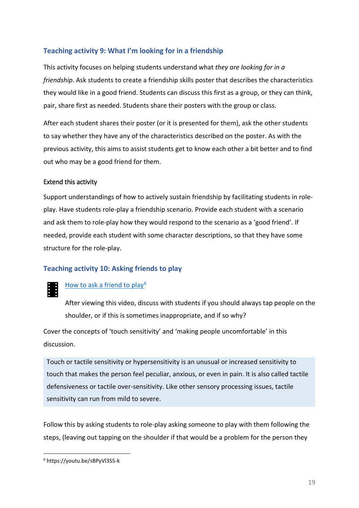#### <span id="page-18-0"></span>**Teaching activity 9: What I'm looking for in a friendship**

This activity focuses on helping students understand what *they are looking for in a friendship*. Ask students to create a friendship skills poster that describes the characteristics they would like in a good friend. Students can discuss this first as a group, or they can think, pair, share first as needed. Students share their posters with the group or class.

After each student shares their poster (or it is presented for them), ask the other students to say whether they have any of the characteristics described on the poster. As with the previous activity, this aims to assist students get to know each other a bit better and to find out who may be a good friend for them.

#### Extend this activity

Support understandings of how to actively sustain friendship by facilitating students in roleplay. Have students role-play a friendship scenario. Provide each student with a scenario and ask them to role-play how they would respond to the scenario as a 'good friend'. If needed, provide each student with some character descriptions, so that they have some structure for the role-play.

#### <span id="page-18-1"></span>**Teaching activity 10: Asking friends to play**

#### [How to ask a friend to play](https://youtu.be/sBPyVl3S5-k)<sup>[6](#page-18-2)</sup>

After viewing this video, discuss with students if you should always tap people on the shoulder, or if this is sometimes inappropriate, and if so why?

Cover the concepts of 'touch sensitivity' and 'making people uncomfortable' in this discussion.

Touch or tactile sensitivity or hypersensitivity is an unusual or increased sensitivity to touch that makes the person feel peculiar, anxious, or even in pain. It is also called tactile defensiveness or tactile over-sensitivity. Like other sensory processing issues, tactile sensitivity can run from mild to severe.

Follow this by asking students to role-play asking someone to play with them following the steps, (leaving out tapping on the shoulder if that would be a problem for the person they

<span id="page-18-2"></span> <sup>6</sup> https://youtu.be/sBPyVl3S5-k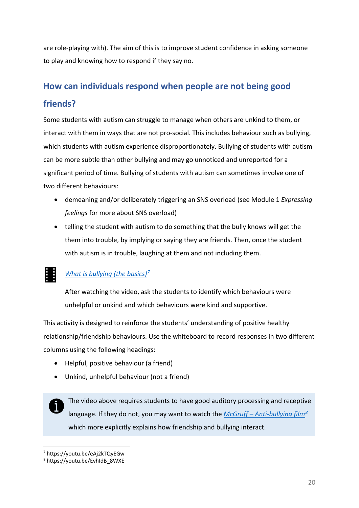are role-playing with). The aim of this is to improve student confidence in asking someone to play and knowing how to respond if they say no.

## <span id="page-19-0"></span>**How can individuals respond when people are not being good friends?**

Some students with autism can struggle to manage when others are unkind to them, or interact with them in ways that are not pro-social. This includes behaviour such as bullying, which students with autism experience disproportionately. Bullying of students with autism can be more subtle than other bullying and may go unnoticed and unreported for a significant period of time. Bullying of students with autism can sometimes involve one of two different behaviours:

- demeaning and/or deliberately triggering an SNS overload (see Module 1 *Expressing feelings* for more about SNS overload)
- telling the student with autism to do something that the bully knows will get the them into trouble, by implying or saying they are friends. Then, once the student with autism is in trouble, laughing at them and not including them.

## *[What is bullying](https://youtu.be/eAj2kTQyEGw) (the basics)[7](#page-19-1)*

After watching the video, ask the students to identify which behaviours were unhelpful or unkind and which behaviours were kind and supportive.

This activity is designed to reinforce the students' understanding of positive healthy relationship/friendship behaviours. Use the whiteboard to record responses in two different columns using the following headings:

- Helpful, positive behaviour (a friend)
- Unkind, unhelpful behaviour (not a friend)

The video above requires students to have good auditory processing and receptive language. If they do not, you may want to watch the *McGruff – [Anti-bullying film](https://youtu.be/EvhIdB_8WXE)[8](#page-19-2)* which more explicitly explains how friendship and bullying interact.

<span id="page-19-1"></span> <sup>7</sup> https://youtu.be/eAj2kTQyEGw

<span id="page-19-2"></span><sup>8</sup> https://youtu.be/EvhIdB\_8WXE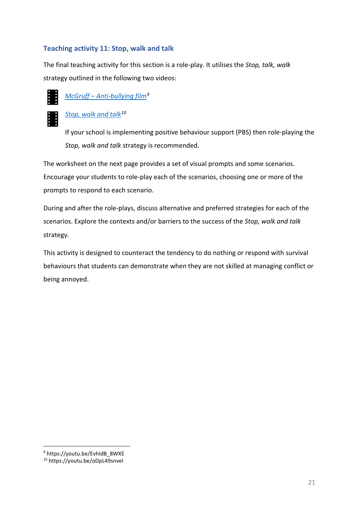#### <span id="page-20-0"></span>**Teaching activity 11: Stop, walk and talk**

The final teaching activity for this section is a role-play. It utilises the *Stop, talk, walk* strategy outlined in the following two videos:





## *[Stop, walk and talk](https://youtu.be/oDpL49snveI)[10](#page-20-2)*

If your school is implementing positive behaviour support (PBS) then role-playing the *Stop, walk and talk* strategy is recommended.

The worksheet on the next page provides a set of visual prompts and some scenarios. Encourage your students to role-play each of the scenarios, choosing one or more of the prompts to respond to each scenario.

During and after the role-plays, discuss alternative and preferred strategies for each of the scenarios. Explore the contexts and/or barriers to the success of the *Stop, walk and talk* strategy.

This activity is designed to counteract the tendency to do nothing or respond with survival behaviours that students can demonstrate when they are not skilled at managing conflict or being annoyed.

<span id="page-20-1"></span> <sup>9</sup> https://youtu.be/EvhIdB\_8WXE

<span id="page-20-2"></span><sup>10</sup> https://youtu.be/oDpL49snveI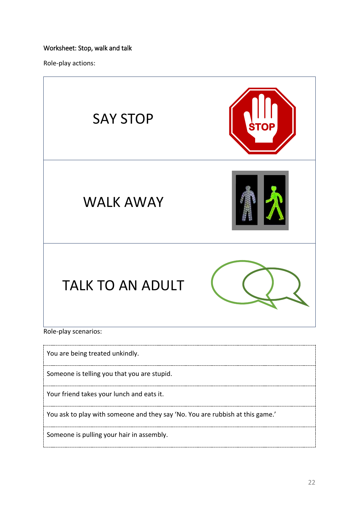#### Worksheet: Stop, walk and talk

Role-play actions:



You ask to play with someone and they say 'No. You are rubbish at this game.'

Someone is pulling your hair in assembly.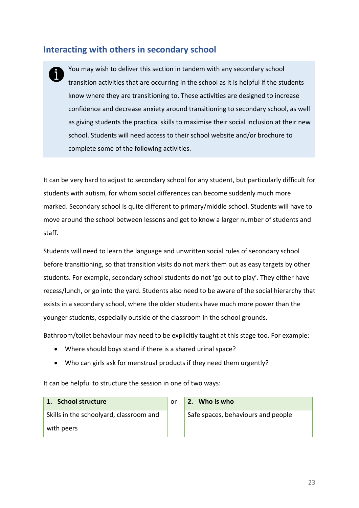## <span id="page-22-0"></span>**Interacting with others in secondary school**

You may wish to deliver this section in tandem with any secondary school transition activities that are occurring in the school as it is helpful if the students know where they are transitioning to. These activities are designed to increase confidence and decrease anxiety around transitioning to secondary school, as well as giving students the practical skills to maximise their social inclusion at their new school. Students will need access to their school website and/or brochure to complete some of the following activities.

It can be very hard to adjust to secondary school for any student, but particularly difficult for students with autism, for whom social differences can become suddenly much more marked. Secondary school is quite different to primary/middle school. Students will have to move around the school between lessons and get to know a larger number of students and staff.

Students will need to learn the language and unwritten social rules of secondary school before transitioning, so that transition visits do not mark them out as easy targets by other students. For example, secondary school students do not 'go out to play'. They either have recess/lunch, or go into the yard. Students also need to be aware of the social hierarchy that exists in a secondary school, where the older students have much more power than the younger students, especially outside of the classroom in the school grounds.

Bathroom/toilet behaviour may need to be explicitly taught at this stage too. For example:

- Where should boys stand if there is a shared urinal space?
- Who can girls ask for menstrual products if they need them urgently?

It can be helpful to structure the session in one of two ways:

#### **1. School structure** or **2. Who is who**

Skills in the schoolyard, classroom and with peers

Safe spaces, behaviours and people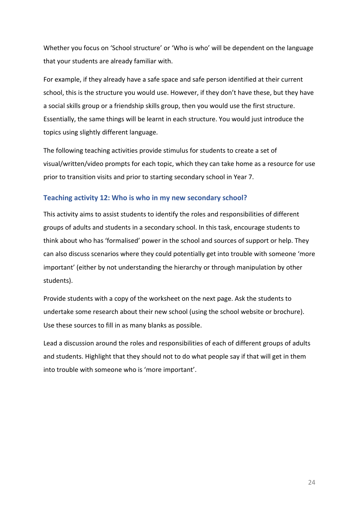Whether you focus on 'School structure' or 'Who is who' will be dependent on the language that your students are already familiar with.

For example, if they already have a safe space and safe person identified at their current school, this is the structure you would use. However, if they don't have these, but they have a social skills group or a friendship skills group, then you would use the first structure. Essentially, the same things will be learnt in each structure. You would just introduce the topics using slightly different language.

The following teaching activities provide stimulus for students to create a set of visual/written/video prompts for each topic, which they can take home as a resource for use prior to transition visits and prior to starting secondary school in Year 7.

#### <span id="page-23-0"></span>**Teaching activity 12: Who is who in my new secondary school?**

This activity aims to assist students to identify the roles and responsibilities of different groups of adults and students in a secondary school. In this task, encourage students to think about who has 'formalised' power in the school and sources of support or help. They can also discuss scenarios where they could potentially get into trouble with someone 'more important' (either by not understanding the hierarchy or through manipulation by other students).

Provide students with a copy of the worksheet on the next page. Ask the students to undertake some research about their new school (using the school website or brochure). Use these sources to fill in as many blanks as possible.

Lead a discussion around the roles and responsibilities of each of different groups of adults and students. Highlight that they should not to do what people say if that will get in them into trouble with someone who is 'more important'.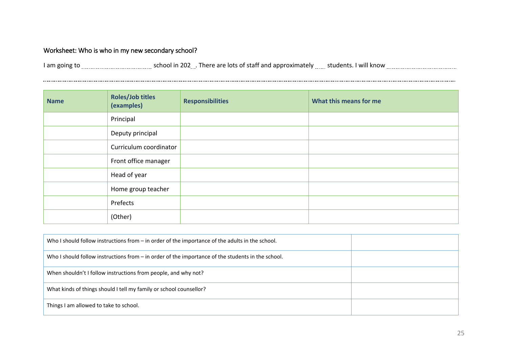#### Worksheet: Who is who in my new secondary school?

I am going to school in 202 . There are lots of staff and approximately students. I will know

| <b>Name</b> | <b>Roles/Job titles</b><br>(examples) | <b>Responsibilities</b> | What this means for me |
|-------------|---------------------------------------|-------------------------|------------------------|
|             | Principal                             |                         |                        |
|             | Deputy principal                      |                         |                        |
|             | Curriculum coordinator                |                         |                        |
|             | Front office manager                  |                         |                        |
|             | Head of year                          |                         |                        |
|             | Home group teacher                    |                         |                        |
|             | Prefects                              |                         |                        |
|             | (Other)                               |                         |                        |

| Who I should follow instructions from $-$ in order of the importance of the adults in the school. |  |
|---------------------------------------------------------------------------------------------------|--|
| Who I should follow instructions from - in order of the importance of the students in the school. |  |
| When shouldn't I follow instructions from people, and why not?                                    |  |
| What kinds of things should I tell my family or school counsellor?                                |  |
| Things I am allowed to take to school.                                                            |  |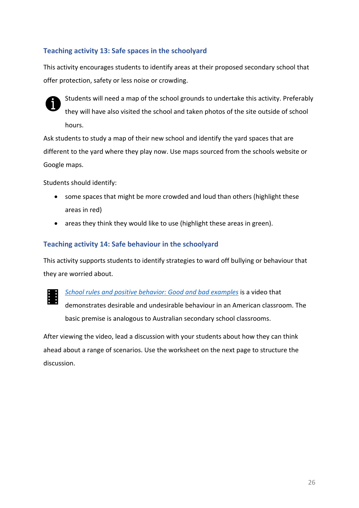#### <span id="page-25-0"></span>**Teaching activity 13: Safe spaces in the schoolyard**

This activity encourages students to identify areas at their proposed secondary school that offer protection, safety or less noise or crowding.



Students will need a map of the school grounds to undertake this activity. Preferably they will have also visited the school and taken photos of the site outside of school hours.

Ask students to study a map of their new school and identify the yard spaces that are different to the yard where they play now. Use maps sourced from the schools website or Google maps.

Students should identify:

- some spaces that might be more crowded and loud than others (highlight these areas in red)
- areas they think they would like to use (highlight these areas in green).

#### <span id="page-25-1"></span>**Teaching activity 14: Safe behaviour in the schoolyard**

This activity supports students to identify strategies to ward off bullying or behaviour that they are worried about.



*[School rules and positive behavior: Good and bad examples](https://youtu.be/Z3y_RrLdYtE)* is a video that demonstrates desirable and undesirable behaviour in an American classroom. The basic premise is analogous to Australian secondary school classrooms.

After viewing the video, lead a discussion with your students about how they can think ahead about a range of scenarios. Use the worksheet on the next page to structure the discussion.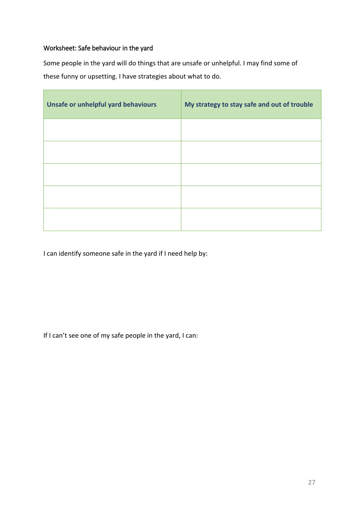#### Worksheet: Safe behaviour in the yard

Some people in the yard will do things that are unsafe or unhelpful. I may find some of these funny or upsetting. I have strategies about what to do.

| Unsafe or unhelpful yard behaviours | My strategy to stay safe and out of trouble |
|-------------------------------------|---------------------------------------------|
|                                     |                                             |
|                                     |                                             |
|                                     |                                             |
|                                     |                                             |
|                                     |                                             |

I can identify someone safe in the yard if I need help by:

If I can't see one of my safe people in the yard, I can: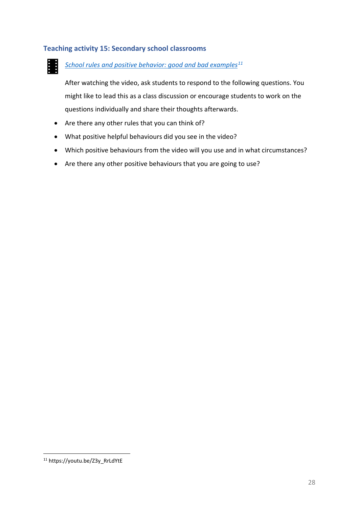#### <span id="page-27-0"></span>**Teaching activity 15: Secondary school classrooms**

墨.

#### *School rules and positive behavior: [good and bad examples](https://youtu.be/Z3y_RrLdYtE)[11](#page-27-1)*

After watching the video, ask students to respond to the following questions. You might like to lead this as a class discussion or encourage students to work on the questions individually and share their thoughts afterwards.

- Are there any other rules that you can think of?
- What positive helpful behaviours did you see in the video?
- Which positive behaviours from the video will you use and in what circumstances?
- Are there any other positive behaviours that you are going to use?

<span id="page-27-1"></span> <sup>11</sup> https://youtu.be/Z3y\_RrLdYtE